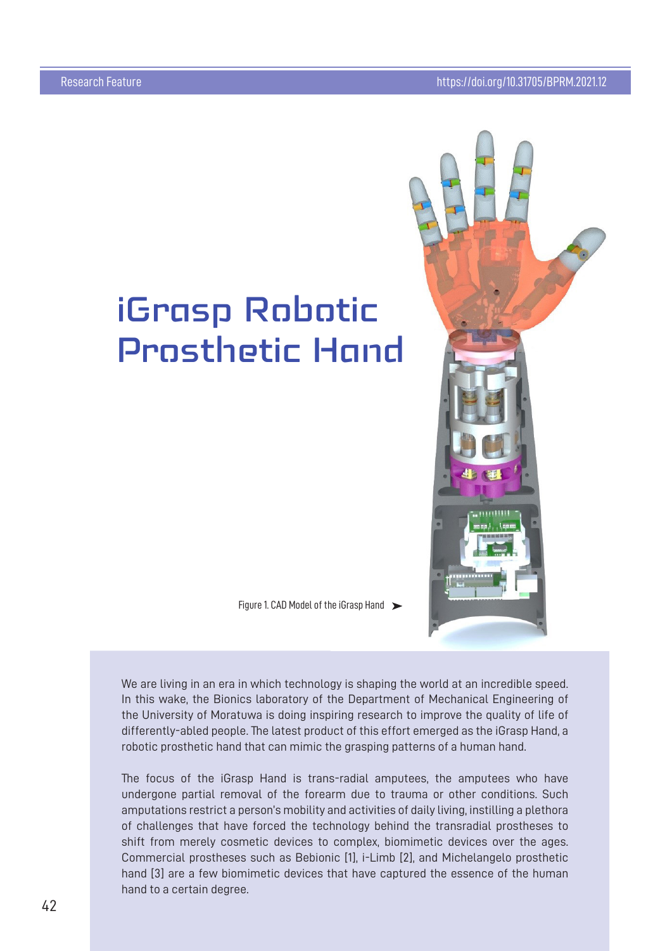## iGrasp Robotic Prosthetic Hand



We are living in an era in which technology is shaping the world at an incredible speed. In this wake, the Bionics laboratory of the Department of Mechanical Engineering of the University of Moratuwa is doing inspiring research to improve the quality of life of differently-abled people. The latest product of this effort emerged as the iGrasp Hand, a robotic prosthetic hand that can mimic the grasping patterns of a human hand.

The focus of the iGrasp Hand is trans-radial amputees, the amputees who have undergone partial removal of the forearm due to trauma or other conditions. Such amputations restrict a person's mobility and activities of daily living, instilling a plethora of challenges that have forced the technology behind the transradial prostheses to shift from merely cosmetic devices to complex, biomimetic devices over the ages. Commercial prostheses such as Bebionic [1], i-Limb [2], and Michelangelo prosthetic hand [3] are a few biomimetic devices that have captured the essence of the human hand to a certain degree.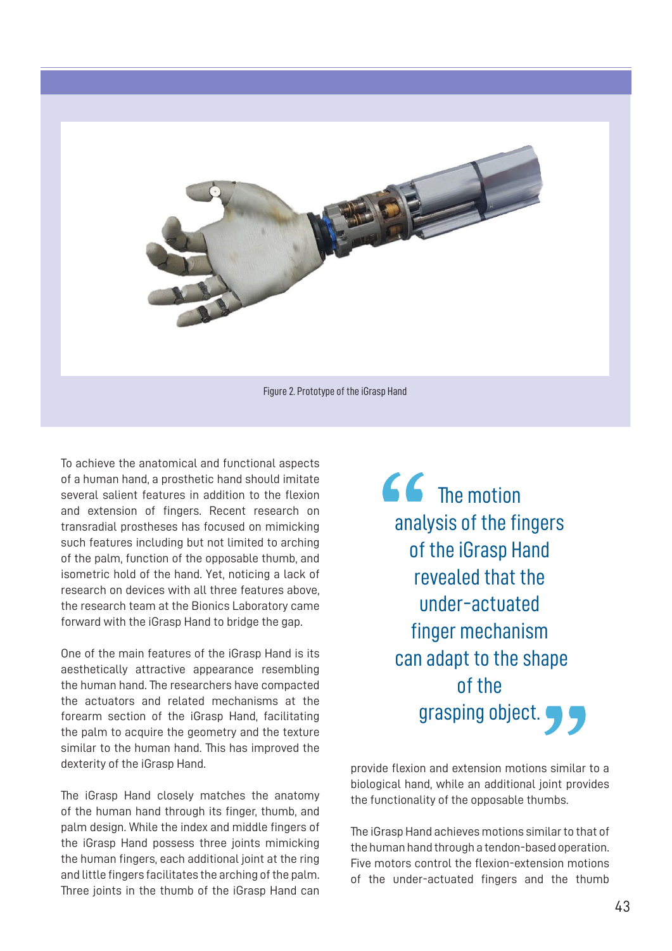

To achieve the anatomical and functional aspects of a human hand, a prosthetic hand should imitate several salient features in addition to the flexion and extension of fingers. Recent research on transradial prostheses has focused on mimicking such features including but not limited to arching of the palm, function of the opposable thumb, and isometric hold of the hand. Yet, noticing a lack of research on devices with all three features above, the research team at the Bionics Laboratory came forward with the iGrasp Hand to bridge the gap.

One of the main features of the iGrasp Hand is its aesthetically attractive appearance resembling the human hand. The researchers have compacted the actuators and related mechanisms at the forearm section of the iGrasp Hand, facilitating the palm to acquire the geometry and the texture similar to the human hand. This has improved the dexterity of the iGrasp Hand.

The iGrasp Hand closely matches the anatomy of the human hand through its finger, thumb, and palm design. While the index and middle fingers of the iGrasp Hand possess three joints mimicking the human fingers, each additional joint at the ring and little fingers facilitates the arching of the palm. Three joints in the thumb of the iGrasp Hand can

**66** The motion analysis of the fingers of the iGrasp Hand revealed that the under-actuated finger mechanism can adapt to the shape of the grasping object.

provide flexion and extension motions similar to a biological hand, while an additional joint provides the functionality of the opposable thumbs.

The iGrasp Hand achieves motions similar to that of the human hand through a tendon-based operation. Five motors control the flexion-extension motions of the under-actuated fingers and the thumb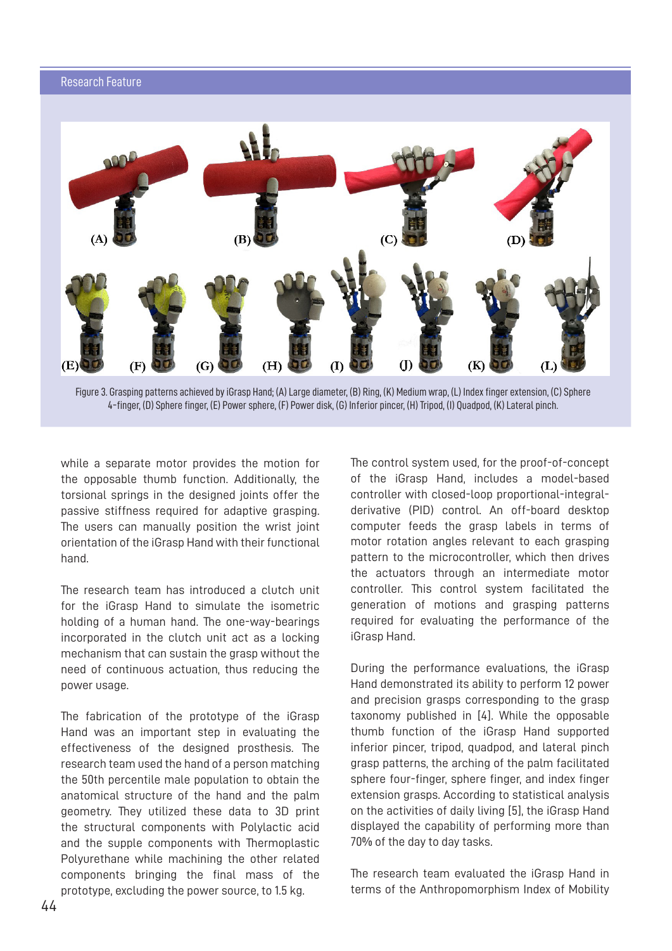## Research Feature



Figure 3. Grasping patterns achieved by iGrasp Hand: (A) Large diameter. (B) Ring. (K) Medium wrap. (L) Index finger extension. (C) Sphere 4-finger. (D) Sphere finger. (E) Power sphere. (F) Power disk. (G) Inferior pincer. (H) Tripod. (I) Ouadpod. (K) Lateral pinch.

while a separate motor provides the motion for the opposable thumb function. Additionally, the torsional springs in the designed joints offer the passive stiffness required for adaptive grasping. The users can manually position the wrist joint orientation of the iGrasp Hand with their functional hand.

The research team has introduced a clutch unit for the iGrasp Hand to simulate the isometric holding of a human hand. The one-way-bearings incorporated in the clutch unit act as a locking mechanism that can sustain the grasp without the need of continuous actuation, thus reducing the power usage.

The fabrication of the prototype of the iGrasp Hand was an important step in evaluating the effectiveness of the designed prosthesis. The research team used the hand of a person matching the 50th percentile male population to obtain the anatomical structure of the hand and the palm geometry. They utilized these data to 3D print the structural components with Polylactic acid and the supple components with Thermoplastic Polyurethane while machining the other related components bringing the final mass of the prototype, excluding the power source, to 1.5 kg.

The control system used, for the proof-of-concept of the iGrasp Hand, includes a model-based controller with closed-loop proportional-integralderivative (PID) control. An off-board desktop computer feeds the grasp labels in terms of motor rotation angles relevant to each grasping pattern to the microcontroller, which then drives the actuators through an intermediate motor controller. This control system facilitated the generation of motions and grasping patterns required for evaluating the performance of the iGrasp Hand.

During the performance evaluations, the iGrasp Hand demonstrated its ability to perform 12 power and precision grasps corresponding to the grasp taxonomy published in [4]. While the opposable thumb function of the iGrasp Hand supported inferior pincer, tripod, quadpod, and lateral pinch grasp patterns, the arching of the palm facilitated sphere four-finger, sphere finger, and index finger extension grasps. According to statistical analysis on the activities of daily living [5], the iGrasp Hand displayed the capability of performing more than 70% of the day to day tasks.

The research team evaluated the iGrasp Hand in terms of the Anthropomorphism Index of Mobility